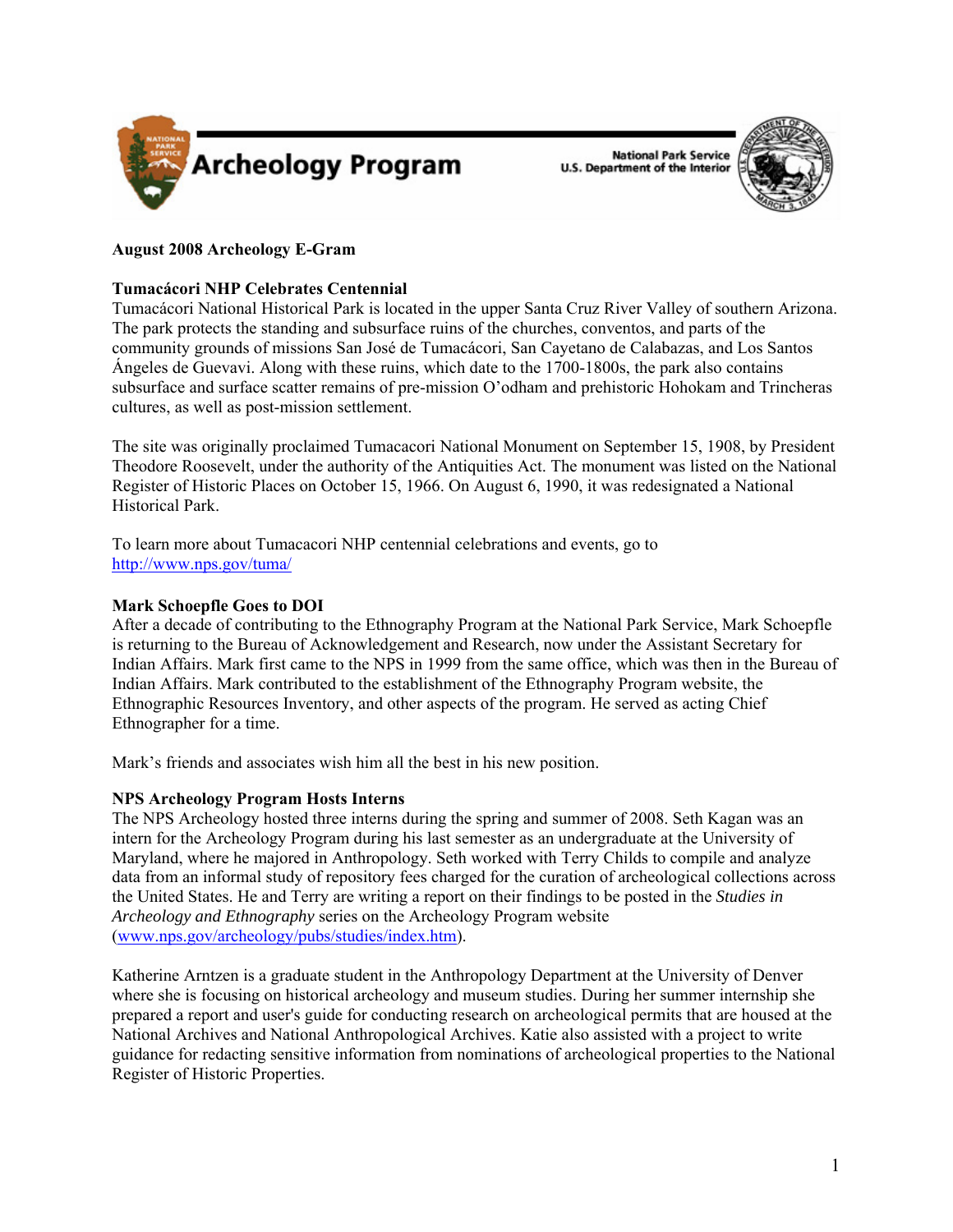

**National Park Service U.S. Department of the Interior** 



# **August 2008 Archeology E-Gram**

## **Tumacácori NHP Celebrates Centennial**

Tumacácori National Historical Park is located in the upper Santa Cruz River Valley of southern Arizona. The park protects the standing and subsurface ruins of the churches, conventos, and parts of the community grounds of missions San José de Tumacácori, San Cayetano de Calabazas, and Los Santos Ángeles de Guevavi. Along with these ruins, which date to the 1700-1800s, the park also contains subsurface and surface scatter remains of pre-mission O'odham and prehistoric Hohokam and Trincheras cultures, as well as post-mission settlement.

The site was originally proclaimed Tumacacori National Monument on September 15, 1908, by President Theodore Roosevelt, under the authority of the Antiquities Act. The monument was listed on the National Register of Historic Places on October 15, 1966. On August 6, 1990, it was redesignated a National Historical Park.

To learn more about Tumacacori NHP centennial celebrations and events, go to <http://www.nps.gov/tuma/>

# **Mark Schoepfle Goes to DOI**

After a decade of contributing to the Ethnography Program at the National Park Service, Mark Schoepfle is returning to the Bureau of Acknowledgement and Research, now under the Assistant Secretary for Indian Affairs. Mark first came to the NPS in 1999 from the same office, which was then in the Bureau of Indian Affairs. Mark contributed to the establishment of the Ethnography Program website, the Ethnographic Resources Inventory, and other aspects of the program. He served as acting Chief Ethnographer for a time.

Mark's friends and associates wish him all the best in his new position.

## **NPS Archeology Program Hosts Interns**

The NPS Archeology hosted three interns during the spring and summer of 2008. Seth Kagan was an intern for the Archeology Program during his last semester as an undergraduate at the University of Maryland, where he majored in Anthropology. Seth worked with Terry Childs to compile and analyze data from an informal study of repository fees charged for the curation of archeological collections across the United States. He and Terry are writing a report on their findings to be posted in the *Studies in Archeology and Ethnography* series on the Archeology Program website ([www.nps.gov/archeology/pubs/studies/index.htm\)](www.nps.gov/archeology/pubs/studies/index.htm).

Katherine Arntzen is a graduate student in the Anthropology Department at the University of Denver where she is focusing on historical archeology and museum studies. During her summer internship she prepared a report and user's guide for conducting research on archeological permits that are housed at the National Archives and National Anthropological Archives. Katie also assisted with a project to write guidance for redacting sensitive information from nominations of archeological properties to the National Register of Historic Properties.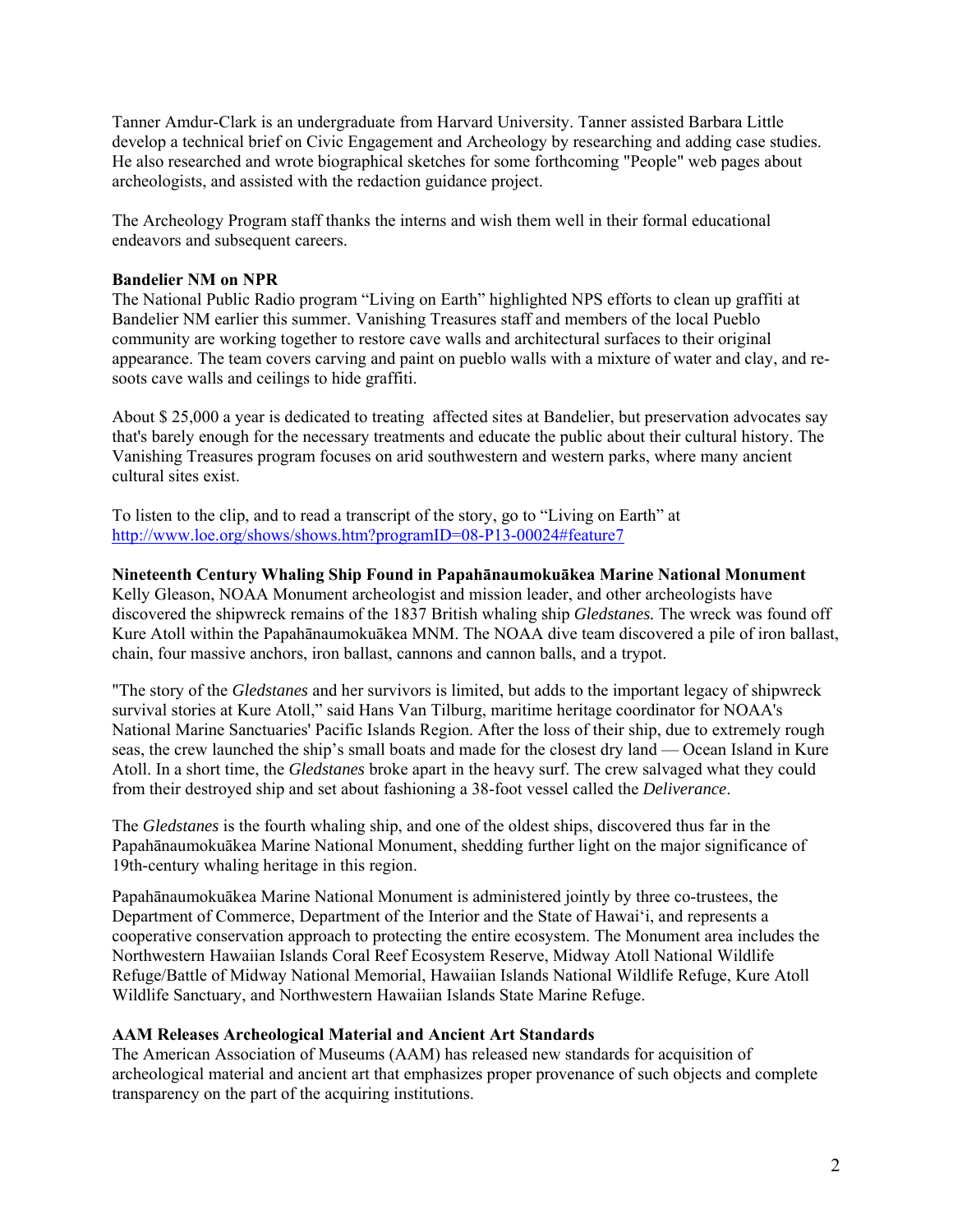Tanner Amdur-Clark is an undergraduate from Harvard University. Tanner assisted Barbara Little develop a technical brief on Civic Engagement and Archeology by researching and adding case studies. He also researched and wrote biographical sketches for some forthcoming "People" web pages about archeologists, and assisted with the redaction guidance project.

The Archeology Program staff thanks the interns and wish them well in their formal educational endeavors and subsequent careers.

#### **Bandelier NM on NPR**

The National Public Radio program "Living on Earth" highlighted NPS efforts to clean up graffiti at Bandelier NM earlier this summer. Vanishing Treasures staff and members of the local Pueblo community are working together to restore cave walls and architectural surfaces to their original appearance. The team covers carving and paint on pueblo walls with a mixture of water and clay, and resoots cave walls and ceilings to hide graffiti.

About \$ 25,000 a year is dedicated to treating affected sites at Bandelier, but preservation advocates say that's barely enough for the necessary treatments and educate the public about their cultural history. The Vanishing Treasures program focuses on arid southwestern and western parks, where many ancient cultural sites exist.

To listen to the clip, and to read a transcript of the story, go to "Living on Earth" at <http://www.loe.org/shows/shows.htm?programID=08-P13-00024#feature7>

### **Nineteenth Century Whaling Ship Found in Papahānaumokuākea Marine National Monument**

Kelly Gleason, NOAA Monument archeologist and mission leader, and other archeologists have discovered the shipwreck remains of the 1837 British whaling ship *Gledstanes.* The wreck was found off Kure Atoll within the Papahānaumokuākea MNM. The NOAA dive team discovered a pile of iron ballast, chain, four massive anchors, iron ballast, cannons and cannon balls, and a trypot.

"The story of the *Gledstanes* and her survivors is limited, but adds to the important legacy of shipwreck survival stories at Kure Atoll," said Hans Van Tilburg, maritime heritage coordinator for NOAA's National Marine Sanctuaries' Pacific Islands Region. After the loss of their ship, due to extremely rough seas, the crew launched the ship's small boats and made for the closest dry land — Ocean Island in Kure Atoll. In a short time, the *Gledstanes* broke apart in the heavy surf. The crew salvaged what they could from their destroyed ship and set about fashioning a 38-foot vessel called the *Deliverance*.

The *Gledstanes* is the fourth whaling ship, and one of the oldest ships, discovered thus far in the Papahānaumokuākea Marine National Monument, shedding further light on the major significance of 19th-century whaling heritage in this region.

Papahānaumokuākea Marine National Monument is administered jointly by three co-trustees, the Department of Commerce, Department of the Interior and the State of Hawai'i, and represents a cooperative conservation approach to protecting the entire ecosystem. The Monument area includes the Northwestern Hawaiian Islands Coral Reef Ecosystem Reserve, Midway Atoll National Wildlife Refuge/Battle of Midway National Memorial, Hawaiian Islands National Wildlife Refuge, Kure Atoll Wildlife Sanctuary, and Northwestern Hawaiian Islands State Marine Refuge.

### **AAM Releases Archeological Material and Ancient Art Standards**

The American Association of Museums (AAM) has released new standards for acquisition of archeological material and ancient art that emphasizes proper provenance of such objects and complete transparency on the part of the acquiring institutions.